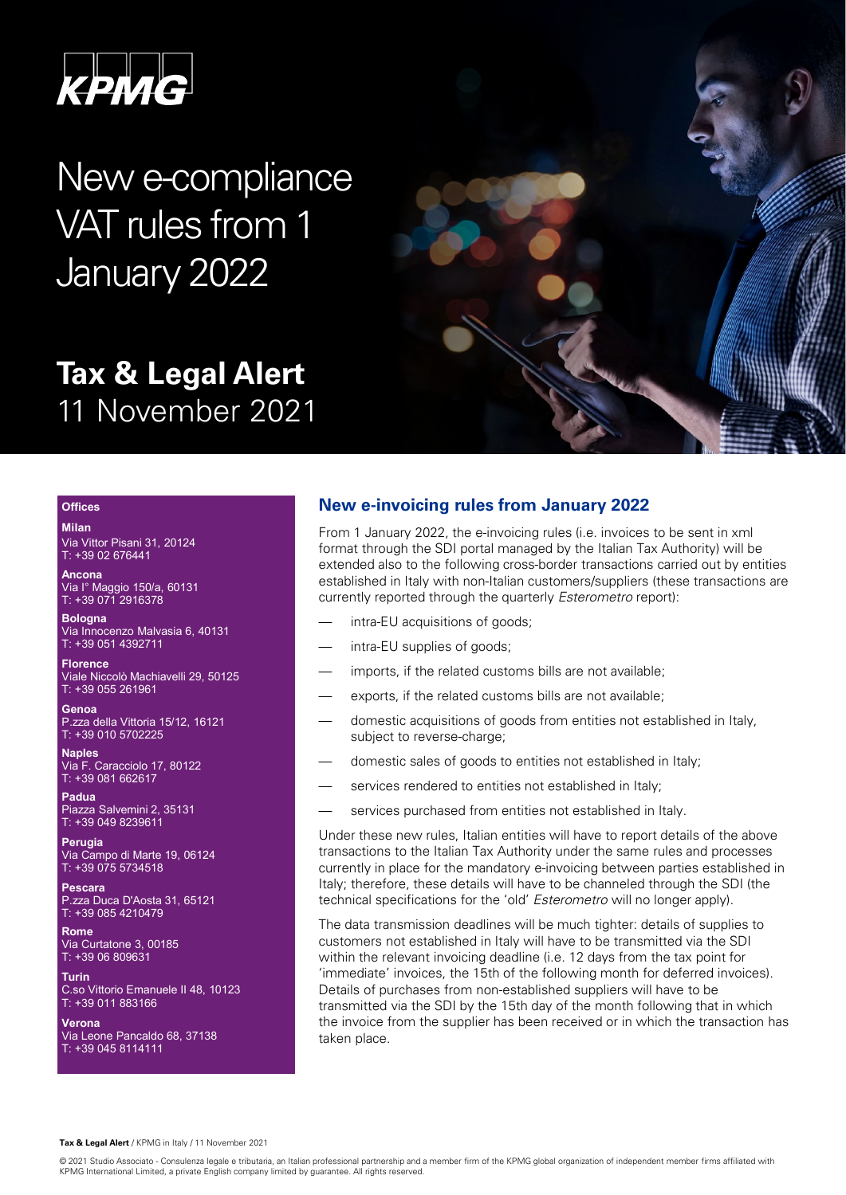PMG

New e-compliance VAT rules from 1 January 2022

# **Tax & Legal Alert** 11 November 2021



# **Offices**

**Milan** Via Vittor Pisani 31, 20124

T: +39 02 676441 **Ancona**

Via I° Maggio 150/a, 60131 T: +39 071 2916378

**Bologna** Via Innocenzo Malvasia 6, 40131 T: +39 051 4392711

**Florence** Viale Niccolò Machiavelli 29, 50125 T: +39 055 261961

**Genoa** P.zza della Vittoria 15/12, 16121 T: +39 010 5702225

**Naples** Via F. Caracciolo 17, 80122 T: +39 081 662617

**Padua** Piazza Salvemini 2, 35131 T: +39 049 8239611

**Perugia** Via Campo di Marte 19, 06124 T: +39 075 5734518

**Pescara** P.zza Duca D'Aosta 31, 65121 T: +39 085 4210479

**Rome** Via Curtatone 3, 00185 T: +39 06 809631

**Turin** C.so Vittorio Emanuele II 48, 10123 T: +39 011 883166

**Verona** Via Leone Pancaldo 68, 37138 T: +39 045 8114111

# **New e-invoicing rules from January 2022**

From 1 January 2022, the e-invoicing rules (i.e. invoices to be sent in xml format through the SDI portal managed by the Italian Tax Authority) will be extended also to the following cross-border transactions carried out by entities established in Italy with non-Italian customers/suppliers (these transactions are currently reported through the quarterly *Esterometro* report):

- intra-EU acquisitions of goods;
- intra-EU supplies of goods;
- imports, if the related customs bills are not available;
- exports, if the related customs bills are not available:
- domestic acquisitions of goods from entities not established in Italy, subject to reverse-charge;
- domestic sales of goods to entities not established in Italy;
- services rendered to entities not established in Italy;
- services purchased from entities not established in Italy.

Under these new rules, Italian entities will have to report details of the above transactions to the Italian Tax Authority under the same rules and processes currently in place for the mandatory e-invoicing between parties established in Italy; therefore, these details will have to be channeled through the SDI (the technical specifications for the 'old' *Esterometro* will no longer apply).

The data transmission deadlines will be much tighter: details of supplies to customers not established in Italy will have to be transmitted via the SDI within the relevant invoicing deadline (i.e. 12 days from the tax point for 'immediate' invoices, the 15th of the following month for deferred invoices). Details of purchases from non-established suppliers will have to be transmitted via the SDI by the 15th day of the month following that in which the invoice from the supplier has been received or in which the transaction has taken place.

<sup>© 2021</sup> Studio Associato - Consulenza legale e tributaria, an Italian professional partnership and a member firm of the KPMG global organization of independent member firms affiliated with KPMG International Limited, a private English company limited by guarantee. All rights reserved.